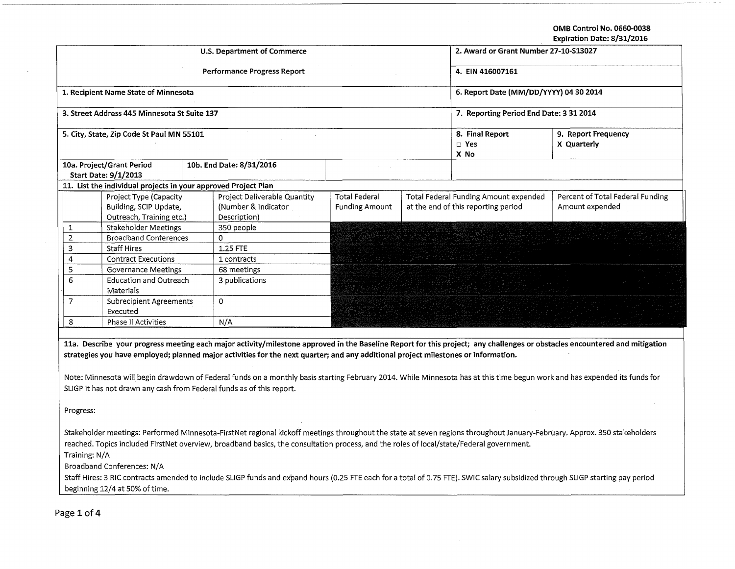OMB Control No. 0660-0038

|  |  | xpiration Date: 8/31/2016 |
|--|--|---------------------------|
|--|--|---------------------------|

|                                                                                                                                                                                                                                                                                                                      | <b>Expiration Date: 8/31/2016</b>                                            |  |                                                                     |                                        |  |                                                                              |                                                     |  |  |  |
|----------------------------------------------------------------------------------------------------------------------------------------------------------------------------------------------------------------------------------------------------------------------------------------------------------------------|------------------------------------------------------------------------------|--|---------------------------------------------------------------------|----------------------------------------|--|------------------------------------------------------------------------------|-----------------------------------------------------|--|--|--|
| U.S. Department of Commerce                                                                                                                                                                                                                                                                                          |                                                                              |  |                                                                     |                                        |  | 2. Award or Grant Number 27-10-S13027                                        |                                                     |  |  |  |
| <b>Performance Progress Report</b>                                                                                                                                                                                                                                                                                   |                                                                              |  |                                                                     |                                        |  | 4. EIN 416007161                                                             |                                                     |  |  |  |
| 1. Recipient Name State of Minnesota                                                                                                                                                                                                                                                                                 |                                                                              |  |                                                                     |                                        |  | 6. Report Date (MM/DD/YYYY) 04 30 2014                                       |                                                     |  |  |  |
| 3. Street Address 445 Minnesota St Suite 137                                                                                                                                                                                                                                                                         |                                                                              |  |                                                                     |                                        |  | 7. Reporting Period End Date: 3 31 2014                                      |                                                     |  |  |  |
| 5. City, State, Zip Code St Paul MN 55101                                                                                                                                                                                                                                                                            |                                                                              |  |                                                                     |                                        |  | 8. Final Report<br>$\square$ Yes<br>X No                                     | 9. Report Frequency<br>X Quarterly                  |  |  |  |
|                                                                                                                                                                                                                                                                                                                      | 10a. Project/Grant Period<br>Start Date: 9/1/2013                            |  | 10b. End Date: 8/31/2016                                            | $\alpha = 1$ .                         |  |                                                                              |                                                     |  |  |  |
|                                                                                                                                                                                                                                                                                                                      | 11. List the individual projects in your approved Project Plan               |  |                                                                     |                                        |  |                                                                              |                                                     |  |  |  |
|                                                                                                                                                                                                                                                                                                                      | Project Type (Capacity<br>Building, SCIP Update,<br>Outreach, Training etc.) |  | Project Deliverable Quantity<br>(Number & Indicator<br>Description) | Total Federal<br><b>Funding Amount</b> |  | Total Federal Funding Amount expended<br>at the end of this reporting period | Percent of Total Federal Funding<br>Amount expended |  |  |  |
| 1                                                                                                                                                                                                                                                                                                                    | Stakeholder Meetings                                                         |  | 350 people                                                          |                                        |  |                                                                              |                                                     |  |  |  |
| $\overline{2}$                                                                                                                                                                                                                                                                                                       | <b>Broadband Conferences</b>                                                 |  | $\Omega$                                                            |                                        |  |                                                                              |                                                     |  |  |  |
| 3                                                                                                                                                                                                                                                                                                                    | <b>Staff Hires</b>                                                           |  | $1.25$ FTE                                                          |                                        |  |                                                                              |                                                     |  |  |  |
| $\sqrt{4}$                                                                                                                                                                                                                                                                                                           | <b>Contract Executions</b>                                                   |  | 1 contracts                                                         |                                        |  |                                                                              |                                                     |  |  |  |
| 5                                                                                                                                                                                                                                                                                                                    | <b>Governance Meetings</b>                                                   |  | 68 meetings                                                         |                                        |  |                                                                              |                                                     |  |  |  |
| 6                                                                                                                                                                                                                                                                                                                    | <b>Education and Outreach</b>                                                |  | 3 publications                                                      |                                        |  |                                                                              |                                                     |  |  |  |
|                                                                                                                                                                                                                                                                                                                      | Materials                                                                    |  |                                                                     |                                        |  |                                                                              |                                                     |  |  |  |
| $\overline{7}$                                                                                                                                                                                                                                                                                                       | <b>Subrecipient Agreements</b><br>Executed                                   |  | $\Omega$                                                            |                                        |  |                                                                              |                                                     |  |  |  |
| 8                                                                                                                                                                                                                                                                                                                    | Phase II Activities                                                          |  | N/A                                                                 |                                        |  |                                                                              |                                                     |  |  |  |
| 11a. Describe your progress meeting each major activity/milestone approved in the Baseline Report for this project; any challenges or obstacles encountered and mitigation<br>strategies you have employed; planned major activities for the next quarter; and any additional project milestones or information.     |                                                                              |  |                                                                     |                                        |  |                                                                              |                                                     |  |  |  |
| Note: Minnesota will begin drawdown of Federal funds on a monthly basis starting February 2014. While Minnesota has at this time begun work and has expended its funds for<br>SLIGP it has not drawn any cash from Federal funds as of this report.                                                                  |                                                                              |  |                                                                     |                                        |  |                                                                              |                                                     |  |  |  |
| Progress:                                                                                                                                                                                                                                                                                                            |                                                                              |  |                                                                     |                                        |  |                                                                              |                                                     |  |  |  |
| Stakeholder meetings: Performed Minnesota-FirstNet regional kickoff meetings throughout the state at seven regions throughout January-February. Approx. 350 stakeholders<br>reached. Topics included FirstNet overview, broadband basics, the consultation process, and the roles of local/state/Federal government. |                                                                              |  |                                                                     |                                        |  |                                                                              |                                                     |  |  |  |
| Training: N/A                                                                                                                                                                                                                                                                                                        |                                                                              |  |                                                                     |                                        |  |                                                                              |                                                     |  |  |  |
| Broadband Conferences: N/A                                                                                                                                                                                                                                                                                           |                                                                              |  |                                                                     |                                        |  |                                                                              |                                                     |  |  |  |
| Staff Hires: 3 RIC contracts amended to include SLIGP funds and expand hours (0.25 FTE each for a total of 0.75 FTE). SWIC salary subsidized through SLIGP starting pay period                                                                                                                                       |                                                                              |  |                                                                     |                                        |  |                                                                              |                                                     |  |  |  |
| beginning 12/4 at 50% of time.                                                                                                                                                                                                                                                                                       |                                                                              |  |                                                                     |                                        |  |                                                                              |                                                     |  |  |  |
|                                                                                                                                                                                                                                                                                                                      |                                                                              |  |                                                                     |                                        |  |                                                                              |                                                     |  |  |  |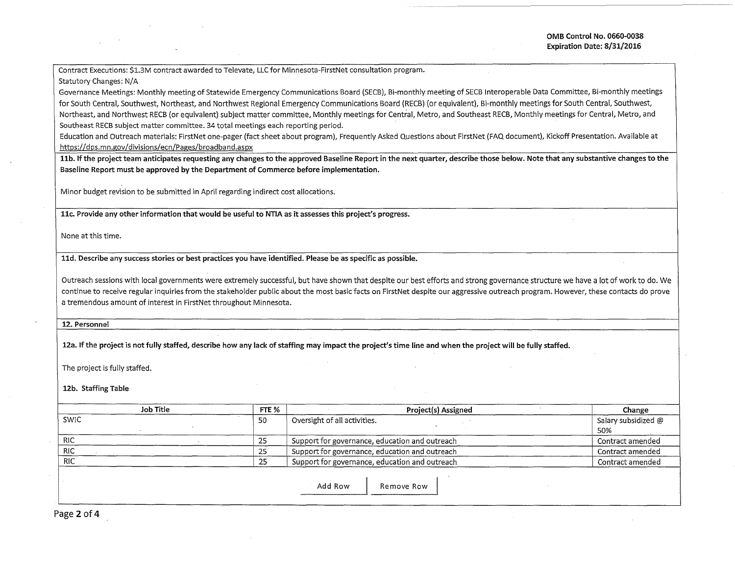Contract Executions: \$1.3M contract awarded to Televate, LLC for Minnesota-FirstNet consultation program.

## Statutory Changes: N/A

Governance Meetings: Monthly meeting of Statewide Emergency Communications Board (SECB), Bi-monthly meeting of SECB Interoperable Data Committee, Bi-monthly meetings for South Central, Southwest, Northeast, and Northwest Regional Emergency Communications Board (RECB) (or equivalent), Bi-monthly meetings for South Central, Southwest, Northeast, and Northwest RECB (or equivalent) subject matter committee, Monthly meetings for Central, Metro, and Southeast RECB, Monthly meetings for Central, Metro, and Southeast RECB subject matter committee. 34 total meetings each reporting period.

Education and Outreach materials: FirstNet one-pager (fact sheet about program), Frequently Asked Questions about FirstNet (FAQ document), Kickoff Presentation. Available at https://dps.mn.gov/divisions/ecn/Pages/broadband.aspx

11b. If the project team anticipates requesting any changes to the approved Baseline Report in the next quarter, describe those below. Note that any substantive changes to the Baseline Report must be approved by the Department of Commerce before implementation.

Minor budget revision to be submitted in April regarding indirect cost allocations.

11c. Provide any other information that would be useful to NTIA as it assesses this project's progress.

None at this time.

11d. Describe any success stories or best practices you have identified. Please be as specific as possible.

Outreach sessions with local governments were extremely successful, but have shown that despite our best efforts and strong governance structure we have a lot of work to do. We continue to receive regular inquiries from the stakeholder public about the most basic facts on FirstNet despite our aggressive outreach program. However, these contacts do prove a tremendous amount of interest in FirstNet throughout Minnesota.

12. Personnel

12a. If the project is not fully staffed, describe how any lack of staffing may impact the project's time line and when the project will be fully staffed.

The project is fully staffed.

12b. Staffing Table

| Job Title  | FTE % | Project(s) Assigned                            | Change                     |  |
|------------|-------|------------------------------------------------|----------------------------|--|
| SWIC       | -50   | Oversight of all activities.                   | Salary subsidized @<br>50% |  |
| <b>RIC</b> | -25   | Support for governance, education and outreach | Contract amended           |  |
| <b>RIC</b> | -25   | Support for governance, education and outreach | Contract amended           |  |
| <b>RIC</b> | -25   | Support for governance, education and outreach | Contract amended           |  |
|            |       | Add Row<br>Remove Row                          |                            |  |

Page 2 of 4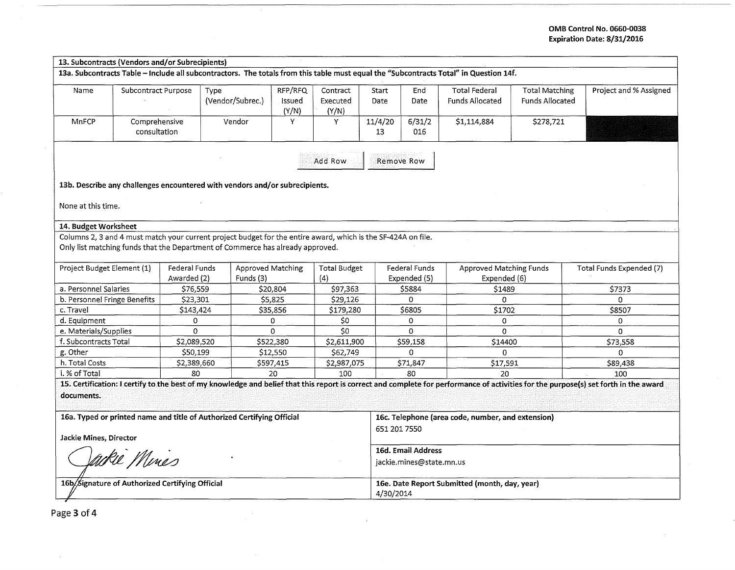## OMB Control No. 0660-0038 Expiration Date: 8/31/2016

| 13. Subcontracts (Vendors and/or Subrecipients)                                                                                                                                                    |                                                                                                               |                              |                                       |                            |                                                                   |               |                               |                                                |                                                 |                          |
|----------------------------------------------------------------------------------------------------------------------------------------------------------------------------------------------------|---------------------------------------------------------------------------------------------------------------|------------------------------|---------------------------------------|----------------------------|-------------------------------------------------------------------|---------------|-------------------------------|------------------------------------------------|-------------------------------------------------|--------------------------|
| 13a. Subcontracts Table - Include all subcontractors. The totals from this table must equal the "Subcontracts Total" in Question 14f.                                                              |                                                                                                               |                              |                                       |                            |                                                                   |               |                               |                                                |                                                 |                          |
| Name                                                                                                                                                                                               | Subcontract Purpose                                                                                           | Type                         | (Vendor/Subrec.)                      | RFP/RFQ<br>Issued<br>(Y/N) | Contract<br>Executed<br>(Y/N)                                     | Start<br>Date | End<br>Date                   | <b>Total Federal</b><br><b>Funds Allocated</b> | <b>Total Matching</b><br><b>Funds Allocated</b> | Project and % Assigned   |
| <b>MnFCP</b>                                                                                                                                                                                       | Comprehensive<br>consultation                                                                                 |                              | Vendor                                | Υ                          | Y                                                                 | 11/4/20<br>13 | 6/31/2<br>016                 | \$1,114,884                                    | \$278,721                                       |                          |
| Add Row<br>Remove Row                                                                                                                                                                              |                                                                                                               |                              |                                       |                            |                                                                   |               |                               |                                                |                                                 |                          |
| 13b. Describe any challenges encountered with vendors and/or subrecipients.                                                                                                                        |                                                                                                               |                              |                                       |                            |                                                                   |               |                               |                                                |                                                 |                          |
| None at this time.                                                                                                                                                                                 |                                                                                                               |                              |                                       |                            |                                                                   |               |                               |                                                |                                                 |                          |
| 14. Budget Worksheet                                                                                                                                                                               |                                                                                                               |                              |                                       |                            |                                                                   |               |                               |                                                |                                                 |                          |
|                                                                                                                                                                                                    | Columns 2, 3 and 4 must match your current project budget for the entire award, which is the SF-424A on file. |                              |                                       |                            |                                                                   |               |                               |                                                |                                                 |                          |
| Only list matching funds that the Department of Commerce has already approved.                                                                                                                     |                                                                                                               |                              |                                       |                            |                                                                   |               |                               |                                                |                                                 |                          |
| Project Budget Element (1)                                                                                                                                                                         |                                                                                                               | Federal Funds<br>Awarded (2) | <b>Approved Matching</b><br>Funds (3) |                            | <b>Total Budget</b><br>(4)                                        |               | Federal Funds<br>Expended (5) | <b>Approved Matching Funds</b><br>Expended (6) |                                                 | Total Funds Expended (7) |
| a. Personnel Salaries                                                                                                                                                                              |                                                                                                               | \$76,559                     |                                       | \$20,804                   | \$97,363                                                          |               | \$5884                        | \$1489                                         |                                                 | \$7373                   |
| b. Personnel Fringe Benefits                                                                                                                                                                       |                                                                                                               | \$23,301                     |                                       | \$5,825                    | \$29,126                                                          |               | $\Omega$                      | $\Omega$                                       |                                                 | $\Omega$                 |
| c. Travel                                                                                                                                                                                          |                                                                                                               | \$143,424                    |                                       | \$35,856                   | \$179,280                                                         |               | \$6805                        | \$1702                                         |                                                 | \$8507                   |
| d. Equipment                                                                                                                                                                                       |                                                                                                               | 0                            |                                       | 0                          | \$0                                                               |               | 0                             | 0                                              |                                                 | $\Omega$                 |
| e. Materials/Supplies                                                                                                                                                                              |                                                                                                               | 0                            |                                       | 0                          | \$0                                                               |               | 0                             | $\Omega$                                       |                                                 | 0                        |
| f. Subcontracts Total                                                                                                                                                                              |                                                                                                               | \$2,089,520                  |                                       | \$522,380                  | \$2,611,900                                                       |               | \$59,158                      | \$14400                                        |                                                 | \$73,558                 |
| g. Other                                                                                                                                                                                           |                                                                                                               | \$50,199                     |                                       | \$12,550                   | \$62,749                                                          |               | $\Omega$                      | 0                                              |                                                 | $\Omega$                 |
| h. Total Costs                                                                                                                                                                                     |                                                                                                               | \$2,389,660                  |                                       | \$597,415                  | \$2,987,075                                                       |               | \$71,847                      | \$17,591                                       |                                                 | \$89,438                 |
| i. % of Total                                                                                                                                                                                      |                                                                                                               | 80<br>100<br>20<br>80<br>20  |                                       |                            | 100                                                               |               |                               |                                                |                                                 |                          |
| 15. Certification: I certify to the best of my knowledge and belief that this report is correct and complete for performance of activities for the purpose(s) set forth in the award<br>documents. |                                                                                                               |                              |                                       |                            |                                                                   |               |                               |                                                |                                                 |                          |
| 16a. Typed or printed name and title of Authorized Certifying Official<br>Jackie Mines, Director                                                                                                   |                                                                                                               |                              |                                       |                            | 16c. Telephone (area code, number, and extension)<br>651 201 7550 |               |                               |                                                |                                                 |                          |
| Vackie Mines                                                                                                                                                                                       |                                                                                                               |                              |                                       |                            | 16d. Email Address<br>jackie.mines@state.mn.us                    |               |                               |                                                |                                                 |                          |
| 16b/Signature of Authorized Certifying Official                                                                                                                                                    |                                                                                                               |                              |                                       |                            | 16e. Date Report Submitted (month, day, year)<br>4/30/2014        |               |                               |                                                |                                                 |                          |

 $\sim$ 

Page 3 of 4

 $\sim$